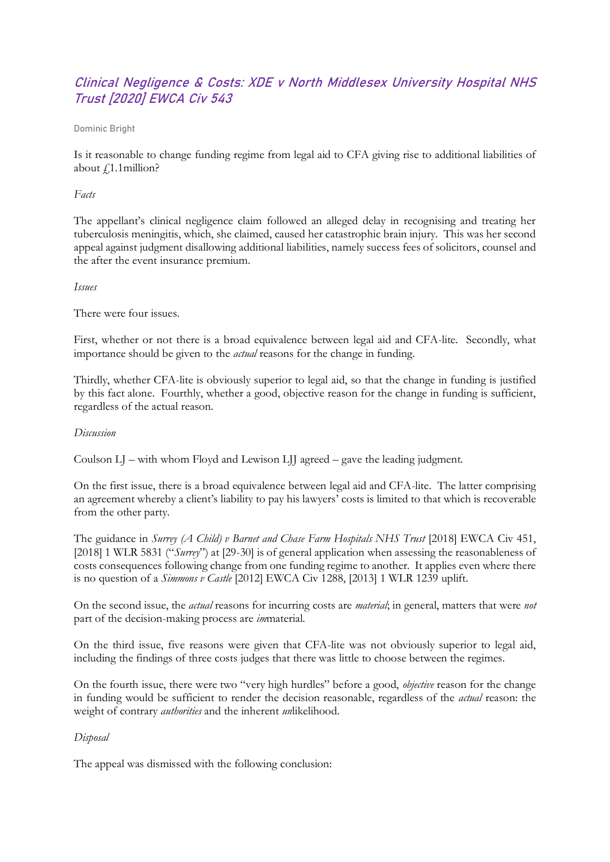# Clinical Negligence & Costs: XDE v North Middlesex University Hospital NHS Trust [2020] EWCA Civ 543

### Dominic Bright

Is it reasonable to change funding regime from legal aid to CFA giving rise to additional liabilities of about  $f1.1$ million?

## *Facts*

The appellant's clinical negligence claim followed an alleged delay in recognising and treating her tuberculosis meningitis, which, she claimed, caused her catastrophic brain injury. This was her second appeal against judgment disallowing additional liabilities, namely success fees of solicitors, counsel and the after the event insurance premium.

## *Issues*

There were four issues.

First, whether or not there is a broad equivalence between legal aid and CFA-lite. Secondly, what importance should be given to the *actual* reasons for the change in funding.

Thirdly, whether CFA-lite is obviously superior to legal aid, so that the change in funding is justified by this fact alone. Fourthly, whether a good, objective reason for the change in funding is sufficient, regardless of the actual reason.

### *Discussion*

Coulson LJ – with whom Floyd and Lewison LJJ agreed – gave the leading judgment.

On the first issue, there is a broad equivalence between legal aid and CFA-lite. The latter comprising an agreement whereby a client's liability to pay his lawyers' costs is limited to that which is recoverable from the other party.

The guidance in *Surrey (A Child) v Barnet and Chase Farm Hospitals NHS Trust* [2018] EWCA Civ 451, [2018] 1 WLR 5831 ("*Surrey*") at [29-30] is of general application when assessing the reasonableness of costs consequences following change from one funding regime to another. It applies even where there is no question of a *Simmons v Castle* [2012] EWCA Civ 1288, [2013] 1 WLR 1239 uplift.

On the second issue, the *actual* reasons for incurring costs are *material*; in general, matters that were *not* part of the decision-making process are *im*material.

On the third issue, five reasons were given that CFA-lite was not obviously superior to legal aid, including the findings of three costs judges that there was little to choose between the regimes.

On the fourth issue, there were two "very high hurdles" before a good, *objective* reason for the change in funding would be sufficient to render the decision reasonable, regardless of the *actual* reason: the weight of contrary *authorities* and the inherent *un*likelihood.

# *Disposal*

The appeal was dismissed with the following conclusion: